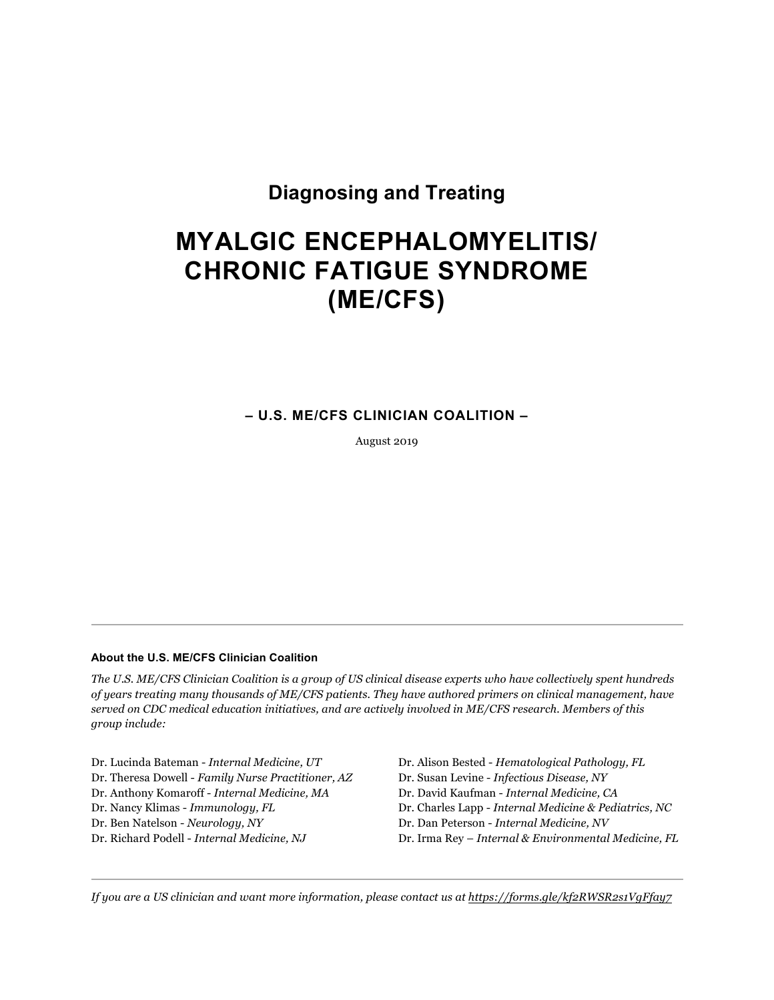## **Diagnosing and Treating**

# **MYALGIC ENCEPHALOMYELITIS/ CHRONIC FATIGUE SYNDROME (ME/CFS)**

## **– U.S. ME/CFS CLINICIAN COALITION –**

August 2019

#### **About the U.S. ME/CFS Clinician Coalition**

*The U.S. ME/CFS Clinician Coalition is a group of US clinical disease experts who have collectively spent hundreds of years treating many thousands of ME/CFS patients. They have authored primers on clinical management, have served on CDC medical education initiatives, and are actively involved in ME/CFS research. Members of this group include:*

Dr. Lucinda Bateman - *Internal Medicine, UT* Dr. Alison Bested - *Hematological Pathology, FL* Dr. Theresa Dowell - *Family Nurse Practitioner, AZ* Dr. Susan Levine - *Infectious Disease, NY* Dr. Anthony Komaroff - *Internal Medicine, MA* Dr. David Kaufman - *Internal Medicine, CA* Dr. Ben Natelson - *Neurology, NY* Dr. Dan Peterson - *Internal Medicine, NV*

Dr. Nancy Klimas - *Immunology, FL* Dr. Charles Lapp - *Internal Medicine & Pediatrics, NC* Dr. Richard Podell - *Internal Medicine, NJ* Dr. Irma Rey – *Internal & Environmental Medicine, FL*

*If you are a US clinician and want more information, please contact us at https://forms.gle/kf2RWSR2s1VgFfay7*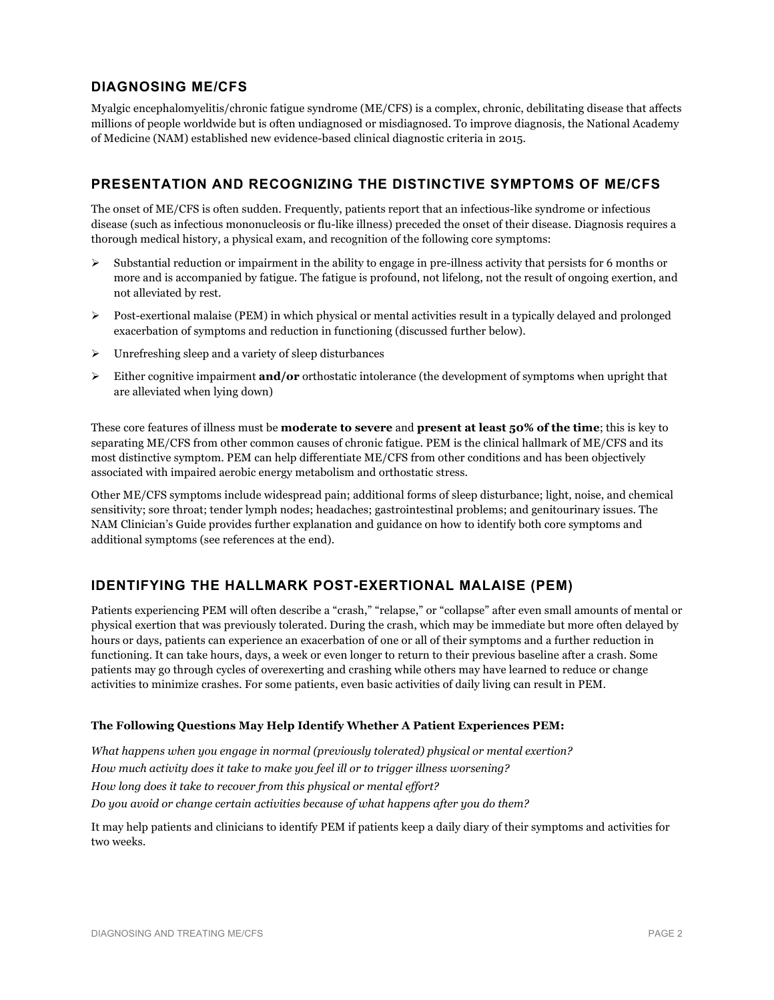## **DIAGNOSING ME/CFS**

Myalgic encephalomyelitis/chronic fatigue syndrome (ME/CFS) is a complex, chronic, debilitating disease that affects millions of people worldwide but is often undiagnosed or misdiagnosed. To improve diagnosis, the National Academy of Medicine (NAM) established new evidence-based clinical diagnostic criteria in 2015.

## **PRESENTATION AND RECOGNIZING THE DISTINCTIVE SYMPTOMS OF ME/CFS**

The onset of ME/CFS is often sudden. Frequently, patients report that an infectious-like syndrome or infectious disease (such as infectious mononucleosis or flu-like illness) preceded the onset of their disease. Diagnosis requires a thorough medical history, a physical exam, and recognition of the following core symptoms:

- ! Substantial reduction or impairment in the ability to engage in pre-illness activity that persists for 6 months or more and is accompanied by fatigue. The fatigue is profound, not lifelong, not the result of ongoing exertion, and not alleviated by rest.
- $\triangleright$  Post-exertional malaise (PEM) in which physical or mental activities result in a typically delayed and prolonged exacerbation of symptoms and reduction in functioning (discussed further below).
- $\triangleright$  Unrefreshing sleep and a variety of sleep disturbances
- ! Either cognitive impairment **and/or** orthostatic intolerance (the development of symptoms when upright that are alleviated when lying down)

These core features of illness must be **moderate to severe** and **present at least 50% of the time**; this is key to separating ME/CFS from other common causes of chronic fatigue. PEM is the clinical hallmark of ME/CFS and its most distinctive symptom. PEM can help differentiate ME/CFS from other conditions and has been objectively associated with impaired aerobic energy metabolism and orthostatic stress.

Other ME/CFS symptoms include widespread pain; additional forms of sleep disturbance; light, noise, and chemical sensitivity; sore throat; tender lymph nodes; headaches; gastrointestinal problems; and genitourinary issues. The NAM Clinician's Guide provides further explanation and guidance on how to identify both core symptoms and additional symptoms (see references at the end).

## **IDENTIFYING THE HALLMARK POST-EXERTIONAL MALAISE (PEM)**

Patients experiencing PEM will often describe a "crash," "relapse," or "collapse" after even small amounts of mental or physical exertion that was previously tolerated. During the crash, which may be immediate but more often delayed by hours or days, patients can experience an exacerbation of one or all of their symptoms and a further reduction in functioning. It can take hours, days, a week or even longer to return to their previous baseline after a crash. Some patients may go through cycles of overexerting and crashing while others may have learned to reduce or change activities to minimize crashes. For some patients, even basic activities of daily living can result in PEM.

#### **The Following Questions May Help Identify Whether A Patient Experiences PEM:**

*What happens when you engage in normal (previously tolerated) physical or mental exertion? How much activity does it take to make you feel ill or to trigger illness worsening? How long does it take to recover from this physical or mental effort? Do you avoid or change certain activities because of what happens after you do them?* 

It may help patients and clinicians to identify PEM if patients keep a daily diary of their symptoms and activities for two weeks.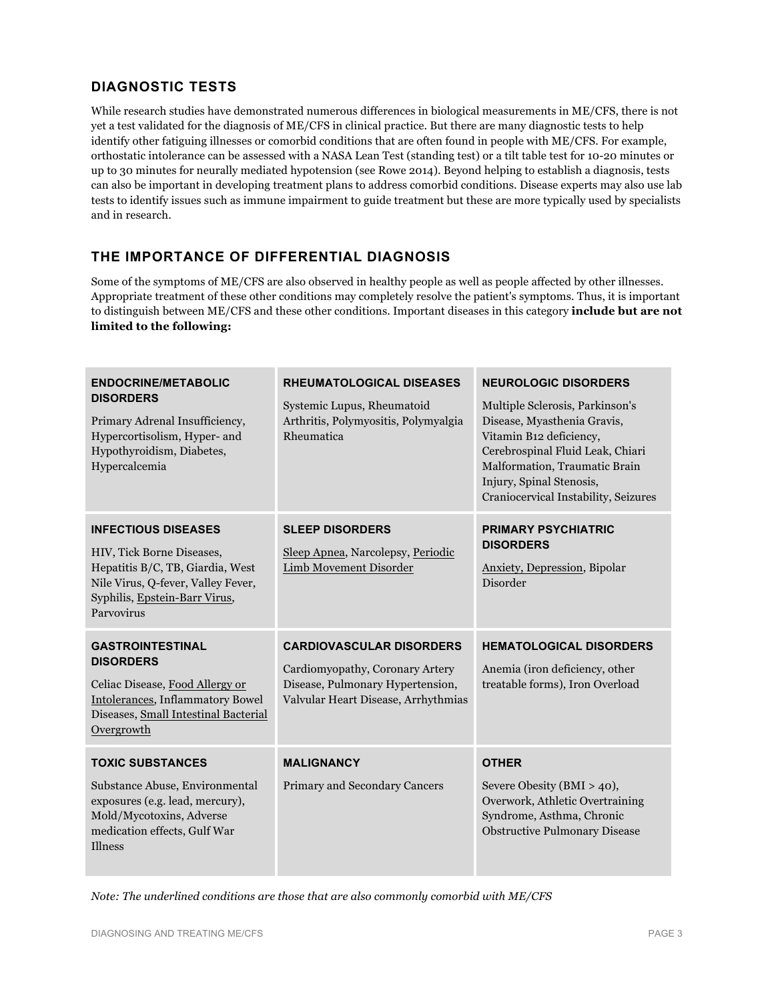## **DIAGNOSTIC TESTS**

While research studies have demonstrated numerous differences in biological measurements in ME/CFS, there is not yet a test validated for the diagnosis of ME/CFS in clinical practice. But there are many diagnostic tests to help identify other fatiguing illnesses or comorbid conditions that are often found in people with ME/CFS. For example, orthostatic intolerance can be assessed with a NASA Lean Test (standing test) or a tilt table test for 10-20 minutes or up to 30 minutes for neurally mediated hypotension (see Rowe 2014). Beyond helping to establish a diagnosis, tests can also be important in developing treatment plans to address comorbid conditions. Disease experts may also use lab tests to identify issues such as immune impairment to guide treatment but these are more typically used by specialists and in research.

## **THE IMPORTANCE OF DIFFERENTIAL DIAGNOSIS**

Some of the symptoms of ME/CFS are also observed in healthy people as well as people affected by other illnesses. Appropriate treatment of these other conditions may completely resolve the patient's symptoms. Thus, it is important to distinguish between ME/CFS and these other conditions. Important diseases in this category **include but are not limited to the following:**

| <b>ENDOCRINE/METABOLIC</b><br><b>DISORDERS</b><br>Primary Adrenal Insufficiency,<br>Hypercortisolism, Hyper- and<br>Hypothyroidism, Diabetes,<br>Hypercalcemia                   | RHEUMATOLOGICAL DISEASES<br>Systemic Lupus, Rheumatoid<br>Arthritis, Polymyositis, Polymyalgia<br>Rheumatica                                  | <b>NEUROLOGIC DISORDERS</b><br>Multiple Sclerosis, Parkinson's<br>Disease, Myasthenia Gravis,<br>Vitamin B12 deficiency,<br>Cerebrospinal Fluid Leak, Chiari<br>Malformation, Traumatic Brain<br>Injury, Spinal Stenosis,<br>Craniocervical Instability, Seizures |
|----------------------------------------------------------------------------------------------------------------------------------------------------------------------------------|-----------------------------------------------------------------------------------------------------------------------------------------------|-------------------------------------------------------------------------------------------------------------------------------------------------------------------------------------------------------------------------------------------------------------------|
| <b>INFECTIOUS DISEASES</b><br>HIV, Tick Borne Diseases,<br>Hepatitis B/C, TB, Giardia, West<br>Nile Virus, Q-fever, Valley Fever,<br>Syphilis, Epstein-Barr Virus,<br>Parvovirus | <b>SLEEP DISORDERS</b><br>Sleep Apnea, Narcolepsy, Periodic<br>Limb Movement Disorder                                                         | <b>PRIMARY PSYCHIATRIC</b><br><b>DISORDERS</b><br>Anxiety, Depression, Bipolar<br>Disorder                                                                                                                                                                        |
| <b>GASTROINTESTINAL</b><br><b>DISORDERS</b><br>Celiac Disease, Food Allergy or<br>Intolerances, Inflammatory Bowel<br>Diseases, Small Intestinal Bacterial<br>Overgrowth         | <b>CARDIOVASCULAR DISORDERS</b><br>Cardiomyopathy, Coronary Artery<br>Disease, Pulmonary Hypertension,<br>Valvular Heart Disease, Arrhythmias | <b>HEMATOLOGICAL DISORDERS</b><br>Anemia (iron deficiency, other<br>treatable forms), Iron Overload                                                                                                                                                               |
| <b>TOXIC SUBSTANCES</b><br>Substance Abuse, Environmental<br>exposures (e.g. lead, mercury),<br>Mold/Mycotoxins, Adverse<br>medication effects, Gulf War<br><b>Illness</b>       | <b>MALIGNANCY</b><br>Primary and Secondary Cancers                                                                                            | <b>OTHER</b><br>Severe Obesity (BMI > 40),<br>Overwork, Athletic Overtraining<br>Syndrome, Asthma, Chronic<br><b>Obstructive Pulmonary Disease</b>                                                                                                                |

*Note: The underlined conditions are those that are also commonly comorbid with ME/CFS*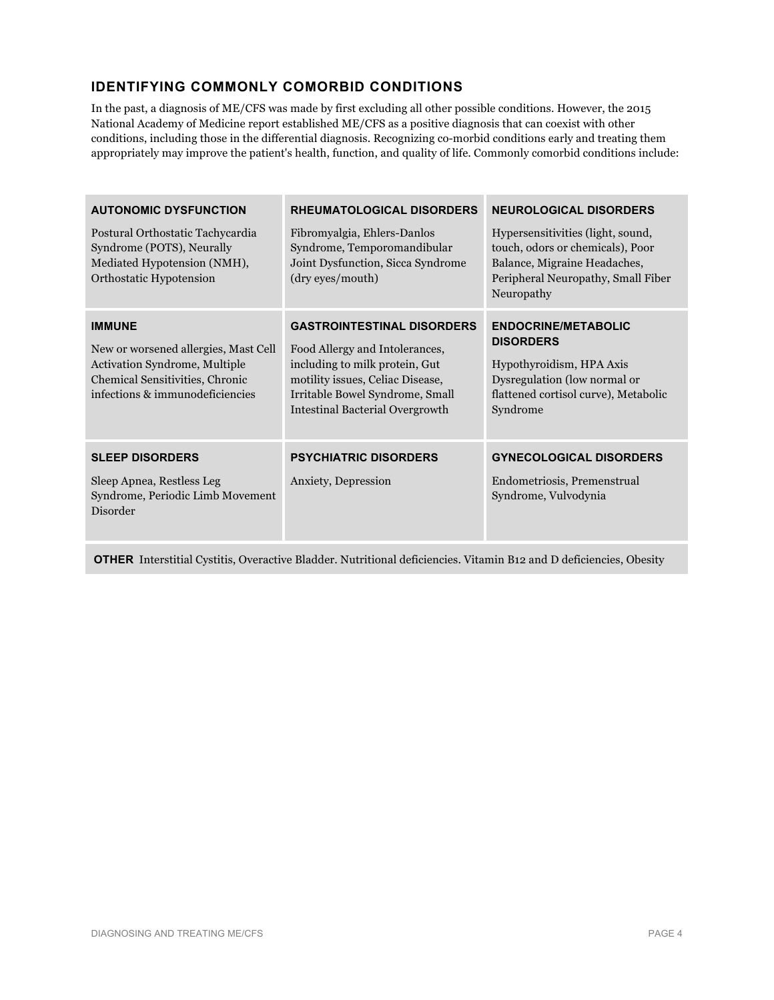## **IDENTIFYING COMMONLY COMORBID CONDITIONS**

In the past, a diagnosis of ME/CFS was made by first excluding all other possible conditions. However, the 2015 National Academy of Medicine report established ME/CFS as a positive diagnosis that can coexist with other conditions, including those in the differential diagnosis. Recognizing co-morbid conditions early and treating them appropriately may improve the patient's health, function, and quality of life. Commonly comorbid conditions include:

| <b>AUTONOMIC DYSFUNCTION</b><br>Postural Orthostatic Tachycardia<br>Syndrome (POTS), Neurally<br>Mediated Hypotension (NMH),<br>Orthostatic Hypotension      | <b>RHEUMATOLOGICAL DISORDERS</b><br>Fibromyalgia, Ehlers-Danlos<br>Syndrome, Temporomandibular<br>Joint Dysfunction, Sicca Syndrome<br>(dry eyes/mouth)                                                                | <b>NEUROLOGICAL DISORDERS</b><br>Hypersensitivities (light, sound,<br>touch, odors or chemicals), Poor<br>Balance, Migraine Headaches,<br>Peripheral Neuropathy, Small Fiber<br>Neuropathy |
|--------------------------------------------------------------------------------------------------------------------------------------------------------------|------------------------------------------------------------------------------------------------------------------------------------------------------------------------------------------------------------------------|--------------------------------------------------------------------------------------------------------------------------------------------------------------------------------------------|
| <b>IMMUNE</b><br>New or worsened allergies, Mast Cell<br>Activation Syndrome, Multiple<br>Chemical Sensitivities, Chronic<br>infections & immunodeficiencies | <b>GASTROINTESTINAL DISORDERS</b><br>Food Allergy and Intolerances,<br>including to milk protein, Gut<br>motility issues, Celiac Disease,<br>Irritable Bowel Syndrome, Small<br><b>Intestinal Bacterial Overgrowth</b> | <b>ENDOCRINE/METABOLIC</b><br><b>DISORDERS</b><br>Hypothyroidism, HPA Axis<br>Dysregulation (low normal or<br>flattened cortisol curve), Metabolic<br>Syndrome                             |
| <b>SLEEP DISORDERS</b><br>Sleep Apnea, Restless Leg<br>Syndrome, Periodic Limb Movement<br>Disorder                                                          | <b>PSYCHIATRIC DISORDERS</b><br>Anxiety, Depression                                                                                                                                                                    | <b>GYNECOLOGICAL DISORDERS</b><br>Endometriosis, Premenstrual<br>Syndrome, Vulvodynia                                                                                                      |

**OTHER** Interstitial Cystitis, Overactive Bladder. Nutritional deficiencies. Vitamin B12 and D deficiencies, Obesity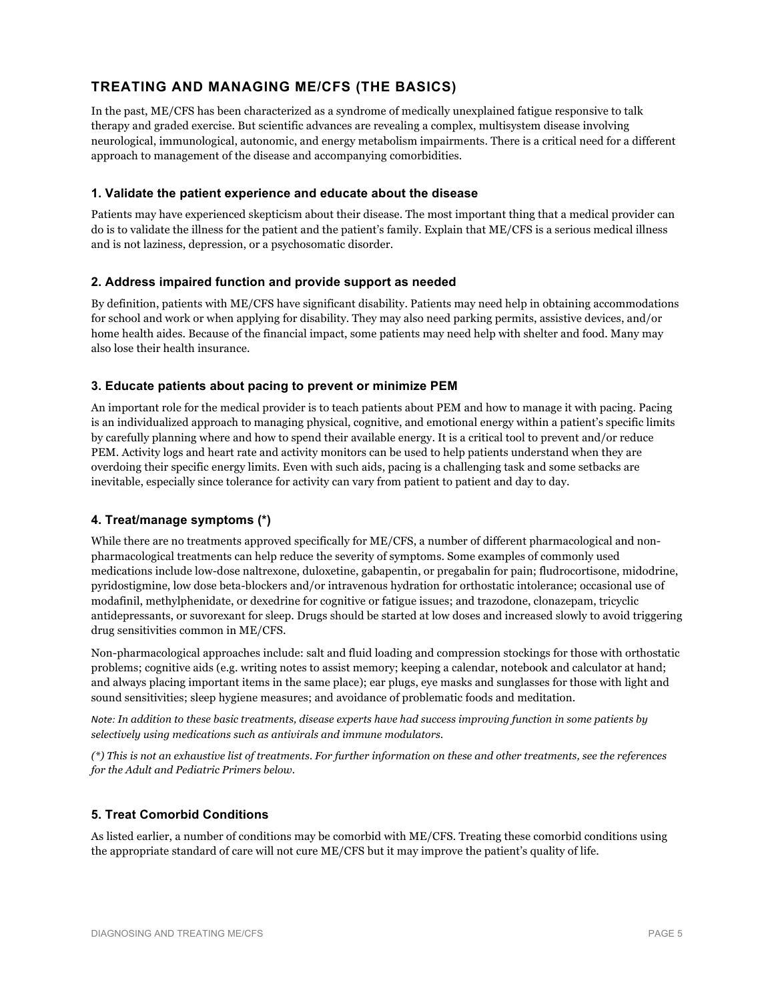## **TREATING AND MANAGING ME/CFS (THE BASICS)**

In the past, ME/CFS has been characterized as a syndrome of medically unexplained fatigue responsive to talk therapy and graded exercise. But scientific advances are revealing a complex, multisystem disease involving neurological, immunological, autonomic, and energy metabolism impairments. There is a critical need for a different approach to management of the disease and accompanying comorbidities.

#### **1. Validate the patient experience and educate about the disease**

Patients may have experienced skepticism about their disease. The most important thing that a medical provider can do is to validate the illness for the patient and the patient's family. Explain that ME/CFS is a serious medical illness and is not laziness, depression, or a psychosomatic disorder.

#### **2. Address impaired function and provide support as needed**

By definition, patients with ME/CFS have significant disability. Patients may need help in obtaining accommodations for school and work or when applying for disability. They may also need parking permits, assistive devices, and/or home health aides. Because of the financial impact, some patients may need help with shelter and food. Many may also lose their health insurance.

#### **3. Educate patients about pacing to prevent or minimize PEM**

An important role for the medical provider is to teach patients about PEM and how to manage it with pacing. Pacing is an individualized approach to managing physical, cognitive, and emotional energy within a patient's specific limits by carefully planning where and how to spend their available energy. It is a critical tool to prevent and/or reduce PEM. Activity logs and heart rate and activity monitors can be used to help patients understand when they are overdoing their specific energy limits. Even with such aids, pacing is a challenging task and some setbacks are inevitable, especially since tolerance for activity can vary from patient to patient and day to day.

#### **4. Treat/manage symptoms (\*)**

While there are no treatments approved specifically for ME/CFS, a number of different pharmacological and nonpharmacological treatments can help reduce the severity of symptoms. Some examples of commonly used medications include low-dose naltrexone, duloxetine, gabapentin, or pregabalin for pain; fludrocortisone, midodrine, pyridostigmine, low dose beta-blockers and/or intravenous hydration for orthostatic intolerance; occasional use of modafinil, methylphenidate, or dexedrine for cognitive or fatigue issues; and trazodone, clonazepam, tricyclic antidepressants, or suvorexant for sleep. Drugs should be started at low doses and increased slowly to avoid triggering drug sensitivities common in ME/CFS.

Non-pharmacological approaches include: salt and fluid loading and compression stockings for those with orthostatic problems; cognitive aids (e.g. writing notes to assist memory; keeping a calendar, notebook and calculator at hand; and always placing important items in the same place); ear plugs, eye masks and sunglasses for those with light and sound sensitivities; sleep hygiene measures; and avoidance of problematic foods and meditation.

*Note: In addition to these basic treatments, disease experts have had success improving function in some patients by selectively using medications such as antivirals and immune modulators.*

*(\*) This is not an exhaustive list of treatments. For further information on these and other treatments, see the references for the Adult and Pediatric Primers below.* 

#### **5. Treat Comorbid Conditions**

As listed earlier, a number of conditions may be comorbid with ME/CFS. Treating these comorbid conditions using the appropriate standard of care will not cure ME/CFS but it may improve the patient's quality of life.